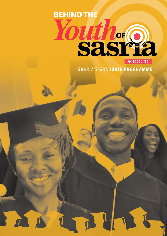# BEHIND THE *Youth*OF **SOC LTD**

**SASRIA'S GRADUATE PROGRAMME**

**Th**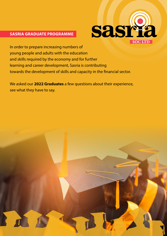### **SASRIA GRADUATE PROGRAMME**



In order to prepare increasing numbers of young people and adults with the education and skills required by the economy and for further learning and career development, Sasria is contributing towards the development of skills and capacity in the financial sector.

We asked our **2022 Graduates** a few questions about their experience, see what they have to say.